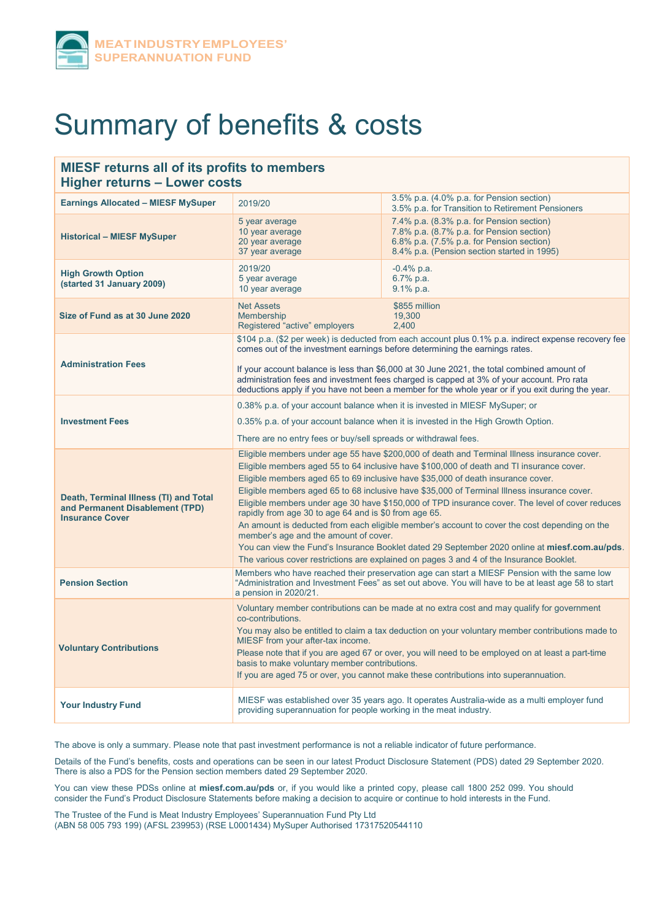

# Summary of benefits & costs

# **MIESF returns all of its profits to members Higher returns – Lower costs**

| <b>Earnings Allocated - MIESF MySuper</b>                                                           | 2019/20                                                                                                                                                                                                                                                                                                                                                                                                                                                                                                                                                                                                                                                                                                                                                                                                                                                                     | 3.5% p.a. (4.0% p.a. for Pension section)<br>3.5% p.a. for Transition to Retirement Pensioners                                                                                                                                                                                                                                                                                              |
|-----------------------------------------------------------------------------------------------------|-----------------------------------------------------------------------------------------------------------------------------------------------------------------------------------------------------------------------------------------------------------------------------------------------------------------------------------------------------------------------------------------------------------------------------------------------------------------------------------------------------------------------------------------------------------------------------------------------------------------------------------------------------------------------------------------------------------------------------------------------------------------------------------------------------------------------------------------------------------------------------|---------------------------------------------------------------------------------------------------------------------------------------------------------------------------------------------------------------------------------------------------------------------------------------------------------------------------------------------------------------------------------------------|
| <b>Historical - MIESF MySuper</b>                                                                   | 5 year average<br>10 year average<br>20 year average<br>37 year average                                                                                                                                                                                                                                                                                                                                                                                                                                                                                                                                                                                                                                                                                                                                                                                                     | 7.4% p.a. (8.3% p.a. for Pension section)<br>7.8% p.a. (8.7% p.a. for Pension section)<br>6.8% p.a. (7.5% p.a. for Pension section)<br>8.4% p.a. (Pension section started in 1995)                                                                                                                                                                                                          |
| <b>High Growth Option</b><br>(started 31 January 2009)                                              | 2019/20<br>5 year average<br>10 year average                                                                                                                                                                                                                                                                                                                                                                                                                                                                                                                                                                                                                                                                                                                                                                                                                                | $-0.4\%$ p.a.<br>6.7% p.a.<br>$9.1\%$ p.a.                                                                                                                                                                                                                                                                                                                                                  |
| Size of Fund as at 30 June 2020                                                                     | <b>Net Assets</b><br>Membership<br>Registered "active" employers                                                                                                                                                                                                                                                                                                                                                                                                                                                                                                                                                                                                                                                                                                                                                                                                            | \$855 million<br>19,300<br>2,400                                                                                                                                                                                                                                                                                                                                                            |
| <b>Administration Fees</b>                                                                          | \$104 p.a. (\$2 per week) is deducted from each account plus 0.1% p.a. indirect expense recovery fee<br>comes out of the investment earnings before determining the earnings rates.<br>If your account balance is less than \$6,000 at 30 June 2021, the total combined amount of<br>administration fees and investment fees charged is capped at 3% of your account. Pro rata<br>deductions apply if you have not been a member for the whole year or if you exit during the year.                                                                                                                                                                                                                                                                                                                                                                                         |                                                                                                                                                                                                                                                                                                                                                                                             |
| <b>Investment Fees</b>                                                                              | 0.38% p.a. of your account balance when it is invested in MIESF MySuper; or<br>0.35% p.a. of your account balance when it is invested in the High Growth Option.<br>There are no entry fees or buy/sell spreads or withdrawal fees.                                                                                                                                                                                                                                                                                                                                                                                                                                                                                                                                                                                                                                         |                                                                                                                                                                                                                                                                                                                                                                                             |
| Death, Terminal Illness (TI) and Total<br>and Permanent Disablement (TPD)<br><b>Insurance Cover</b> | Eligible members under age 55 have \$200,000 of death and Terminal Illness insurance cover.<br>Eligible members aged 55 to 64 inclusive have \$100,000 of death and TI insurance cover.<br>Eligible members aged 65 to 69 inclusive have \$35,000 of death insurance cover.<br>Eligible members aged 65 to 68 inclusive have \$35,000 of Terminal Illness insurance cover.<br>Eligible members under age 30 have \$150,000 of TPD insurance cover. The level of cover reduces<br>rapidly from age 30 to age 64 and is \$0 from age 65.<br>An amount is deducted from each eligible member's account to cover the cost depending on the<br>member's age and the amount of cover.<br>You can view the Fund's Insurance Booklet dated 29 September 2020 online at miesf.com.au/pds.<br>The various cover restrictions are explained on pages 3 and 4 of the Insurance Booklet. |                                                                                                                                                                                                                                                                                                                                                                                             |
| <b>Pension Section</b>                                                                              | Members who have reached their preservation age can start a MIESF Pension with the same low<br>"Administration and Investment Fees" as set out above. You will have to be at least age 58 to start<br>a pension in 2020/21.                                                                                                                                                                                                                                                                                                                                                                                                                                                                                                                                                                                                                                                 |                                                                                                                                                                                                                                                                                                                                                                                             |
| <b>Voluntary Contributions</b>                                                                      | co-contributions.<br>MIESF from your after-tax income.<br>basis to make voluntary member contributions.                                                                                                                                                                                                                                                                                                                                                                                                                                                                                                                                                                                                                                                                                                                                                                     | Voluntary member contributions can be made at no extra cost and may qualify for government<br>You may also be entitled to claim a tax deduction on your voluntary member contributions made to<br>Please note that if you are aged 67 or over, you will need to be employed on at least a part-time<br>If you are aged 75 or over, you cannot make these contributions into superannuation. |
| <b>Your Industry Fund</b>                                                                           | providing superannuation for people working in the meat industry.                                                                                                                                                                                                                                                                                                                                                                                                                                                                                                                                                                                                                                                                                                                                                                                                           | MIESF was established over 35 years ago. It operates Australia-wide as a multi employer fund                                                                                                                                                                                                                                                                                                |

The above is only a summary. Please note that past investment performance is not a reliable indicator of future performance.

Details of the Fund's benefits, costs and operations can be seen in our latest Product Disclosure Statement (PDS) dated 29 September 2020. There is also a PDS for the Pension section members dated 29 September 2020.

You can view these PDSs online at **miesf.com.au/pds** or, if you would like a printed copy, please call 1800 252 099. You should consider the Fund's Product Disclosure Statements before making a decision to acquire or continue to hold interests in the Fund.

The Trustee of the Fund is Meat Industry Employees' Superannuation Fund Pty Ltd (ABN 58 005 793 199) (AFSL 239953) (RSE L0001434) MySuper Authorised 17317520544110